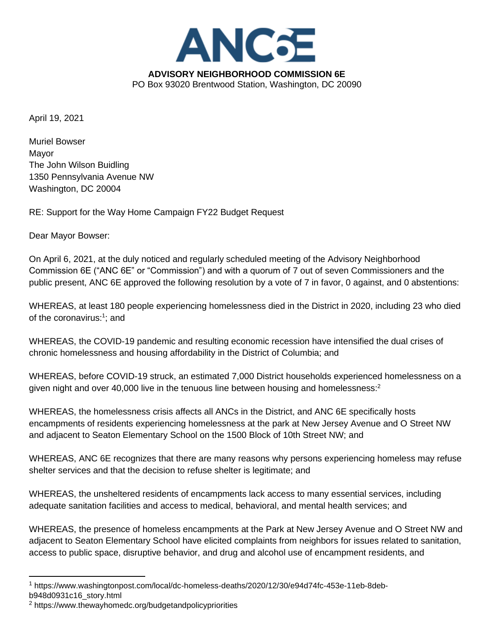

April 19, 2021

Muriel Bowser Mayor The John Wilson Buidling 1350 Pennsylvania Avenue NW Washington, DC 20004

RE: Support for the Way Home Campaign FY22 Budget Request

Dear Mayor Bowser:

On April 6, 2021, at the duly noticed and regularly scheduled meeting of the Advisory Neighborhood Commission 6E ("ANC 6E" or "Commission") and with a quorum of 7 out of seven Commissioners and the public present, ANC 6E approved the following resolution by a vote of 7 in favor, 0 against, and 0 abstentions:

WHEREAS, at least 180 people experiencing homelessness died in the District in 2020, including 23 who died of the coronavirus:<sup>1</sup>; and

WHEREAS, the COVID-19 pandemic and resulting economic recession have intensified the dual crises of chronic homelessness and housing affordability in the District of Columbia; and

WHEREAS, before COVID-19 struck, an estimated 7,000 District households experienced homelessness on a given night and over 40,000 live in the tenuous line between housing and homelessness: $2$ 

WHEREAS, the homelessness crisis affects all ANCs in the District, and ANC 6E specifically hosts encampments of residents experiencing homelessness at the park at New Jersey Avenue and O Street NW and adjacent to Seaton Elementary School on the 1500 Block of 10th Street NW; and

WHEREAS, ANC 6E recognizes that there are many reasons why persons experiencing homeless may refuse shelter services and that the decision to refuse shelter is legitimate; and

WHEREAS, the unsheltered residents of encampments lack access to many essential services, including adequate sanitation facilities and access to medical, behavioral, and mental health services; and

WHEREAS, the presence of homeless encampments at the Park at New Jersey Avenue and O Street NW and adjacent to Seaton Elementary School have elicited complaints from neighbors for issues related to sanitation, access to public space, disruptive behavior, and drug and alcohol use of encampment residents, and

<sup>1</sup> [https://www.washingtonpost.com/local/dc-homeless-deaths/2020/12/30/e94d74fc-453e-11eb-8deb](https://www.washingtonpost.com/local/dc-homeless-deaths/2020/12/30/e94d74fc-453e-11eb-8deb-b948d0931c16_story.html)[b948d0931c16\\_story.html](https://www.washingtonpost.com/local/dc-homeless-deaths/2020/12/30/e94d74fc-453e-11eb-8deb-b948d0931c16_story.html)

<sup>2</sup> <https://www.thewayhomedc.org/budgetandpolicypriorities>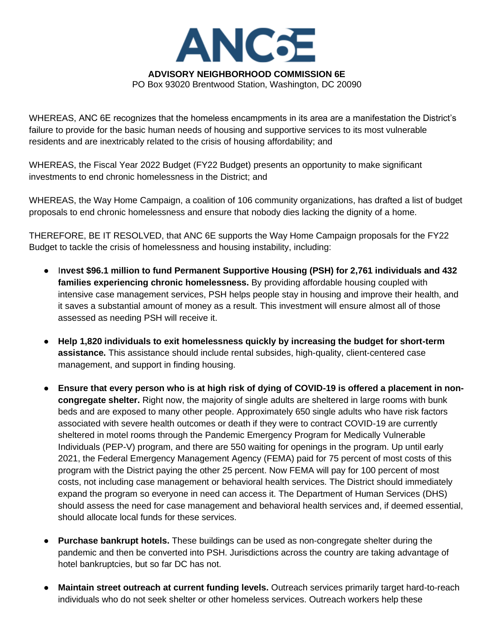

PO Box 93020 Brentwood Station, Washington, DC 20090

WHEREAS, ANC 6E recognizes that the homeless encampments in its area are a manifestation the District's failure to provide for the basic human needs of housing and supportive services to its most vulnerable residents and are inextricably related to the crisis of housing affordability; and

WHEREAS, the Fiscal Year 2022 Budget (FY22 Budget) presents an opportunity to make significant investments to end chronic homelessness in the District; and

WHEREAS, the Way Home Campaign, a coalition of 106 community organizations, has drafted a list of budget proposals to end chronic homelessness and ensure that nobody dies lacking the dignity of a home.

THEREFORE, BE IT RESOLVED, that ANC 6E supports the Way Home Campaign proposals for the FY22 Budget to tackle the crisis of homelessness and housing instability, including:

- I**nvest \$96.1 million to fund Permanent Supportive Housing (PSH) for 2,761 individuals and 432 families experiencing chronic homelessness.** By providing affordable housing coupled with intensive case management services, PSH helps people stay in housing and improve their health, and it saves a substantial amount of money as a result. This investment will ensure almost all of those assessed as needing PSH will receive it.
- Help 1,820 individuals to exit homelessness quickly by increasing the budget for short-term **assistance.** This assistance should include rental subsides, high-quality, client-centered case management, and support in finding housing.
- **•** Ensure that every person who is at high risk of dying of COVID-19 is offered a placement in non**congregate shelter.** Right now, the majority of single adults are sheltered in large rooms with bunk beds and are exposed to many other people. Approximately 650 single adults who have risk factors associated with severe health outcomes or death if they were to contract COVID-19 are currently sheltered in motel rooms through the Pandemic Emergency Program for Medically Vulnerable Individuals (PEP-V) program, and there are 550 waiting for openings in the program. Up until early 2021, the Federal Emergency Management Agency (FEMA) paid for 75 percent of most costs of this program with the District paying the other 25 percent. Now FEMA will pay for 100 percent of most costs, not including case management or behavioral health services. The District should immediately expand the program so everyone in need can access it. The Department of Human Services (DHS) should assess the need for case management and behavioral health services and, if deemed essential, should allocate local funds for these services.
- Purchase bankrupt hotels. These buildings can be used as non-congregate shelter during the pandemic and then be converted into PSH. Jurisdictions across the country are taking advantage of hotel bankruptcies, but so far DC has not.
- **Maintain street outreach at current funding levels.** Outreach services primarily target hard-to-reach individuals who do not seek shelter or other homeless services. Outreach workers help these